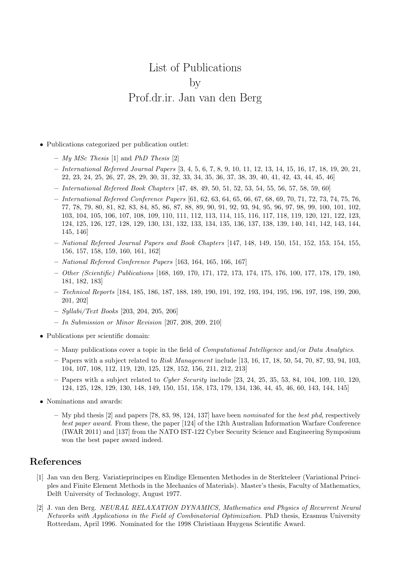## List of Publications by Prof.dr.ir. Jan van den Berg

- *•* Publications categorized per publication outlet:
	- **–** *My MSc Thesis* [1] and *PhD Thesis* [2]
	- **–** *International Refereed Journal Papers* [3, 4, 5, 6, 7, 8, 9, 10, 11, 12, 13, 14, 15, 16, 17, 18, 19, 20, 21, 22, 23, 24, 25, 26, 27, 28, 29, 30, 31, 32, 33, 34, 35, 36, 37, 38, 39, 40, 41, 42, 43, 44, 45, 46]
	- **–** *International Refereed Book Chapters* [47, 48, 49, 50, 51, 52, 53, 54, 55, 56, 57, 58, 59, 60]
	- **–** *International Refereed Conference Papers* [61, 62, 63, 64, 65, 66, 67, 68, 69, 70, 71, 72, 73, 74, 75, 76, 77, 78, 79, 80, 81, 82, 83, 84, 85, 86, 87, 88, 89, 90, 91, 92, 93, 94, 95, 96, 97, 98, 99, 100, 101, 102, 103, 104, 105, 106, 107, 108, 109, 110, 111, 112, 113, 114, 115, 116, 117, 118, 119, 120, 121, 122, 123, 124, 125, 126, 127, 128, 129, 130, 131, 132, 133, 134, 135, 136, 137, 138, 139, 140, 141, 142, 143, 144, 145, 146]
	- **–** *National Refereed Journal Papers and Book Chapters* [147, 148, 149, 150, 151, 152, 153, 154, 155, 156, 157, 158, 159, 160, 161, 162]
	- **–** *National Refereed Conference Papers* [163, 164, 165, 166, 167]
	- **–** *Other (Scientific) Publications* [168, 169, 170, 171, 172, 173, 174, 175, 176, 100, 177, 178, 179, 180, 181, 182, 183]
	- **–** *Technical Reports* [184, 185, 186, 187, 188, 189, 190, 191, 192, 193, 194, 195, 196, 197, 198, 199, 200, 201, 202]
	- **–** *Syllabi/Text Books* [203, 204, 205, 206]
	- **–** *In Submission or Minor Revision* [207, 208, 209, 210]
- *•* Publications per scientific domain:
	- **–** Many publications cover a topic in the field of *Computational Intelligence* and/or *Data Analytics*.
	- **–** Papers with a subject related to *Risk Management* include [13, 16, 17, 18, 50, 54, 70, 87, 93, 94, 103, 104, 107, 108, 112, 119, 120, 125, 128, 152, 156, 211, 212, 213]
	- **–** Papers with a subject related to *Cyber Security* include [23, 24, 25, 35, 53, 84, 104, 109, 110, 120, 124, 125, 128, 129, 130, 148, 149, 150, 151, 158, 173, 179, 134, 136, 44, 45, 46, 60, 143, 144, 145]
- *•* Nominations and awards:
	- **–** My phd thesis [2] and papers [78, 83, 98, 124, 137] have been *nominated* for the *best phd*, respectively *best paper award*. From these, the paper [124] of the 12th Australian Information Warfare Conference (IWAR 2011) and [137] from the NATO IST-122 Cyber Security Science and Engineering Symposium won the best paper award indeed.

## **References**

- [1] Jan van den Berg. Variatieprincipes en Eindige Elementen Methodes in de Sterkteleer (Variational Principles and Finite Element Methods in the Mechanics of Materials). Master's thesis, Faculty of Mathematics, Delft University of Technology, August 1977.
- [2] J. van den Berg. *NEURAL RELAXATION DYNAMICS, Mathematics and Physics of Recurrent Neural Networks with Applications in the Field of Combinatorial Optimization*. PhD thesis, Erasmus University Rotterdam, April 1996. Nominated for the 1998 Christiaan Huygens Scientific Award.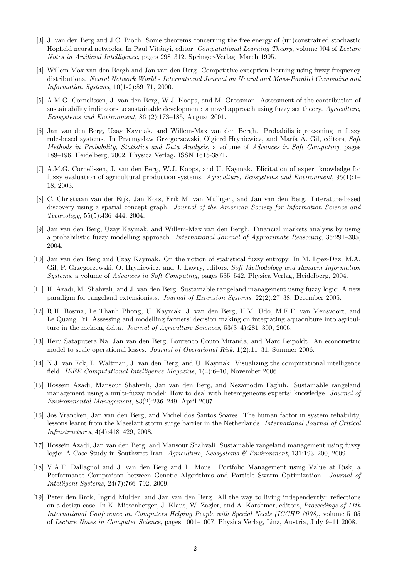- [3] J. van den Berg and J.C. Bioch. Some theorems concerning the free energy of (un)constrained stochastic Hopfield neural networks. In Paul Vit´anyi, editor, *Computational Learning Theory*, volume 904 of *Lecture Notes in Artificial Intelligence*, pages 298–312. Springer-Verlag, March 1995.
- [4] Willem-Max van den Bergh and Jan van den Berg. Competitive exception learning using fuzzy frequency distributions. *Neural Network World - International Journal on Neural and Mass-Parallel Computing and Information Systems*, 10(1-2):59–71, 2000.
- [5] A.M.G. Cornelissen, J. van den Berg, W.J. Koops, and M. Grossman. Assessment of the contribution of sustainability indicators to sustainable development: a novel approach using fuzzy set theory. *Agriculture, Ecosystems and Environment*, 86 (2):173–185, August 2001.
- [6] Jan van den Berg, Uzay Kaymak, and Willem-Max van den Bergh. Probabilistic reasoning in fuzzy rule-based systems. In Przemysław Grzegorzewski, Olgierd Hryniewicz, and María Á. Gil, editors, Soft *Methods in Probability, Statistics and Data Analysis*, a volume of *Advances in Soft Computing*, pages 189–196, Heidelberg, 2002. Physica Verlag. ISSN 1615-3871.
- [7] A.M.G. Cornelissen, J. van den Berg, W.J. Koops, and U. Kaymak. Elicitation of expert knowledge for fuzzy evaluation of agricultural production systems. *Agriculture, Ecosystems and Environment*, 95(1):1– 18, 2003.
- [8] C. Christiaan van der Eijk, Jan Kors, Erik M. van Mulligen, and Jan van den Berg. Literature-based discovery using a spatial concept graph. *Journal of the American Society for Information Science and Technology*, 55(5):436–444, 2004.
- [9] Jan van den Berg, Uzay Kaymak, and Willem-Max van den Bergh. Financial markets analysis by using a probabilistic fuzzy modelling approach. *International Journal of Approximate Reasoning*, 35:291–305, 2004.
- [10] Jan van den Berg and Uzay Kaymak. On the notion of statistical fuzzy entropy. In M. Lpez-Daz, M.A. Gil, P. Grzegorzewski, O. Hryniewicz, and J. Lawry, editors, *Soft Methodology and Random Information Systems*, a volume of *Advances in Soft Computing*, pages 535–542. Physica Verlag, Heidelberg, 2004.
- [11] H. Azadi, M. Shahvali, and J. van den Berg. Sustainable rangeland management using fuzzy logic: A new paradigm for rangeland extensionists. *Journal of Extension Systems*, 22(2):27–38, December 2005.
- [12] R.H. Bosma, Le Thanh Phong, U. Kaymak, J. van den Berg, H.M. Udo, M.E.F. van Mensvoort, and Le Quang Tri. Assessing and modelling farmers' decision making on integrating aquaculture into agriculture in the mekong delta. *Journal of Agriculture Sciences*, 53(3–4):281–300, 2006.
- [13] Heru Sataputera Na, Jan van den Berg, Lourenco Couto Miranda, and Marc Leipoldt. An econometric model to scale operational losses. *Journal of Operational Risk*, 1(2):11–31, Summer 2006.
- [14] N.J. van Eck, L. Waltman, J. van den Berg, and U. Kaymak. Visualizing the computational intelligence field. *IEEE Computational Intelligence Magazine*, 1(4):6–10, November 2006.
- [15] Hossein Azadi, Mansour Shahvali, Jan van den Berg, and Nezamodin Faghih. Sustainable rangeland management using a multi-fuzzy model: How to deal with heterogeneous experts' knowledge. *Journal of Environmental Management*, 83(2):236–249, April 2007.
- [16] Jos Vrancken, Jan van den Berg, and Michel dos Santos Soares. The human factor in system reliability, lessons learnt from the Maeslant storm surge barrier in the Netherlands. *International Journal of Critical Infrastructures*, 4(4):418–429, 2008.
- [17] Hossein Azadi, Jan van den Berg, and Mansour Shahvali. Sustainable rangeland management using fuzzy logic: A Case Study in Southwest Iran. *Agriculture, Ecosystems & Environment*, 131:193–200, 2009.
- [18] V.A.F. Dallagnol and J. van den Berg and L. Mous. Portfolio Management using Value at Risk, a Performance Comparison between Genetic Algorithms and Particle Swarm Optimization. *Journal of Intelligent Systems*, 24(7):766–792, 2009.
- [19] Peter den Brok, Ingrid Mulder, and Jan van den Berg. All the way to living independently: reflections on a design case. In K. Miesenberger, J. Klaus, W. Zagler, and A. Karshmer, editors, *Proceedings of 11th International Conference on Computers Helping People with Special Needs (ICCHP 2008)*, volume 5105 of *Lecture Notes in Computer Science*, pages 1001–1007. Physica Verlag, Linz, Austria, July 9–11 2008.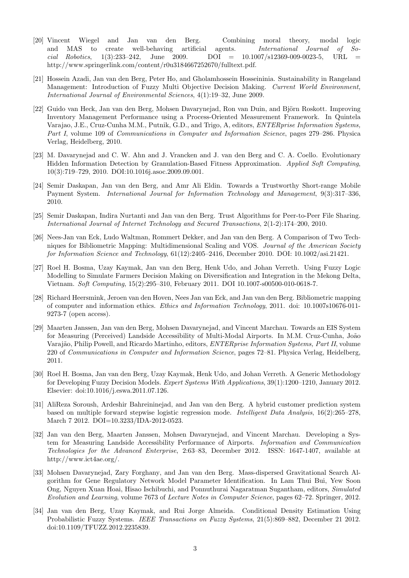- [20] Vincent Wiegel and Jan van den Berg. Combining moral theory, modal logic and MAS to create well-behaving artificial agents. *International Journal of Social Robotics*, 1(3):233–242, June 2009. DOI = 10.1007/s12369-009-0023-5, URL = http://www.springerlink.com/content/r0u3184667252670/fulltext.pdf.
- [21] Hossein Azadi, Jan van den Berg, Peter Ho, and Gholamhossein Hosseininia. Sustainability in Rangeland Management: Introduction of Fuzzy Multi Objective Decision Making. *Current World Environment, International Journal of Environmental Sciences*, 4(1):19–32, June 2009.
- [22] Guido van Heck, Jan van den Berg, Mohsen Davarynejad, Ron van Duin, and Björn Roskott. Improving Inventory Management Performance using a Process-Oriented Measurement Framework. In Quintela Varajao, J.E., Cruz-Cunha M.M., Putnik, G.D., and Trigo, A, editors, *ENTERprise Information Systems, Part I*, volume 109 of *Communications in Computer and Information Science*, pages 279–286. Physica Verlag, Heidelberg, 2010.
- [23] M. Davarynejad and C. W. Ahn and J. Vrancken and J. van den Berg and C. A. Coello. Evolutionary Hidden Information Detection by Granulation-Based Fitness Approximation. *Applied Soft Computing*, 10(3):719–729, 2010. DOI:10.1016j.asoc.2009.09.001.
- [24] Semir Daskapan, Jan van den Berg, and Amr Ali Eldin. Towards a Trustworthy Short-range Mobile Payment System. *International Journal for Information Technology and Management*, 9(3):317–336, 2010.
- [25] Semir Daskapan, Indira Nurtanti and Jan van den Berg. Trust Algorithms for Peer-to-Peer File Sharing. *International Journal of Internet Technology and Secured Transactions*, 2(1-2):174–200, 2010.
- [26] Nees-Jan van Eck, Ludo Waltman, Rommert Dekker, and Jan van den Berg. A Comparison of Two Techniques for Bibliometric Mapping: Multidimensional Scaling and VOS. *Journal of the American Society for Information Science and Technology*, 61(12):2405–2416, December 2010. DOI: 10.1002/asi.21421.
- [27] Roel H. Bosma, Uzay Kaymak, Jan van den Berg, Henk Udo, and Johan Verreth. Using Fuzzy Logic Modelling to Simulate Farmers Decision Making on Diversification and Integration in the Mekong Delta, Vietnam. *Soft Computing*, 15(2):295–310, February 2011. DOI 10.1007-s00500-010-0618-7.
- [28] Richard Heersmink, Jeroen van den Hoven, Nees Jan van Eck, and Jan van den Berg. Bibliometric mapping of computer and information ethics. *Ethics and Information Technology*, 2011. doi: 10.1007s10676-011- 9273-7 (open access).
- [29] Maarten Janssen, Jan van den Berg, Mohsen Davarynejad, and Vincent Marchau. Towards an EIS System for Measuring (Perceived) Landside Accessibility of Multi-Modal Airports. In M.M. Cruz-Cunha, João Varajão, Philip Powell, and Ricardo Martinho, editors, *ENTERprise Information Systems, Part II*, volume 220 of *Communications in Computer and Information Science*, pages 72–81. Physica Verlag, Heidelberg, 2011.
- [30] Roel H. Bosma, Jan van den Berg, Uzay Kaymak, Henk Udo, and Johan Verreth. A Generic Methodology for Developing Fuzzy Decision Models. *Expert Systems With Applications*, 39(1):1200–1210, January 2012. Elsevier: doi:10.1016/j.eswa.2011.07.126.
- [31] AliReza Soroush, Ardeshir Bahreininejad, and Jan van den Berg. A hybrid customer prediction system based on multiple forward stepwise logistic regression mode. *Intelligent Data Analysis*, 16(2):265–278, March 7 2012. DOI=10.3233/IDA-2012-0523.
- [32] Jan van den Berg, Maarten Janssen, Mohsen Davarynejad, and Vincent Marchau. Developing a System for Measuring Landside Accessibility Performance of Airports. *Information and Communication Technologies for the Advanced Enterprise*, 2:63–83, December 2012. ISSN: 1647-1407, available at http://www.ict4ae.org/.
- [33] Mohsen Davarynejad, Zary Forghany, and Jan van den Berg. Mass-dispersed Gravitational Search Algorithm for Gene Regulatory Network Model Parameter Identification. In Lam Thui Bui, Yew Soon Ong, Nguyen Xuan Hoai, Hisao Ischibuchi, and Ponnuthurai Nagaratman Sugantham, editors, *Simulated Evolution and Learning*, volume 7673 of *Lecture Notes in Computer Science*, pages 62–72. Springer, 2012.
- [34] Jan van den Berg, Uzay Kaymak, and Rui Jorge Almeida. Conditional Density Estimation Using Probabilistic Fuzzy Systems. *IEEE Transactions on Fuzzy Systems*, 21(5):869–882, December 21 2012. doi:10.1109/TFUZZ.2012.2235839.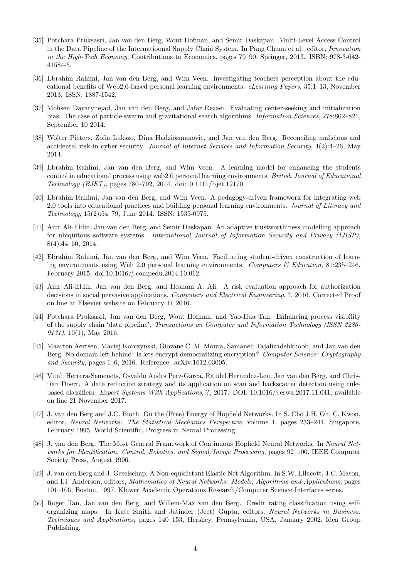- [35] Potchara Pruksasri, Jan van den Berg, Wout Hofman, and Semir Daskapan. Multi-Level Access Control in the Data Pipeline of the Internatioonal Supply Chain System. In Pang Chuan et al., editor, *Innovation in the High-Tech Economy*, Contributions to Economics, pages 79–90. Springer, 2013. ISBN: 978-3-642- 41584-5.
- [36] Ebrahim Rahimi, Jan van den Berg, and Wim Veen. Investigating teachers perception about the educational benefits of Web2.0-based personal learning environments. *eLearning Papers*, 35:1–13, November 2013. ISSN: 1887-1542.
- [37] Mohsen Davarynejad, Jan van den Berg, and Jafar Rezaei. Evaluating center-seeking and initialization bias: The case of particle swarm and gravitational search algorithms. *Information Sciences*, 278:802–821, September 10 2014.
- [38] Wolter Pieters, Zofia Lukszo, Dina Hadziosmanovic, and Jan van den Berg. Reconciling malicious and accidental risk in cyber security. *Journal of Internet Services and Information Security*, 4(2):4–26, May 2014.
- [39] Ebrahim Rahimi, Jan van den Berg, and Wim Veen. A learning model for enhancing the students control in educational process using web2.0 personal learning environments. *British Journal of Educational Technology (BJET)*, pages 780–792, 2014. doi:10.1111/bjet.12170.
- [40] Ebrahim Rahimi, Jan van den Berg, and Wim Veen. A pedagogy-driven framework for integrating web 2.0 tools into educational practices and building personal learning environments. *Journal of Literacy and Technology*, 15(2):54–79, June 2014. ISSN: 1535-0975.
- [41] Amr Ali-Eldin, Jan van den Berg, and Semir Daskapan. An adaptive trustworthiness modelling approach for ubiquitous software systems. *International Journal of Information Security and Privacy (IJISP)*, 8(4):44–60, 2014.
- [42] Ebrahim Rahimi, Jan van den Berg, and Wim Veen. Facilitating student-driven construction of learning environments using Web 2.0 personal learning environments. *Computers & Education*, 81:235–246, February 2015. doi:10.1016/j.compedu.2014.10.012.
- [43] Amr Ali-Eldin, Jan van den Berg, and Hesham A. Ali. A risk evaluation approach for authorization decisions in social pervasive applications. *Computers and Electrical Engineering*, ?, 2016. Corrected Proof on line at Elsevier website on February 11 2016.
- [44] Potchara Pruksasri, Jan van den Berg, Wout Hofman, and Yao-Hua Tan. Enhancing process visibility of the supply chain 'data pipeline'. *Transactions on Computer and Information Technology (ISSN 2286- 9131)*, 10(1), May 2016.
- [45] Maarten Aertsen, Maciej Korczynski, Giovane C. M. Moura, Samaneh Tajalizadehkhoob, and Jan van den Berg. No domain left behind: is lets encrypt democratizing encryption? *Computer Science: Cryptography and Security*, pages 1–6, 2016. Reference: arXiv:1612.03005.
- [46] Vitali Herrera-Semenets, Osvaldo Andrs Perz-Garca, Raudel Hernndez-Len, Jan van den Berg, and Christian Doerr. A data reduction strategy and its application on scan and backscatter detection using rulebased classifiers. *Expert Systems With Applications*, ?, 2017. DOI: 10.1016/j.eswa.2017.11.041; available on line 21 November 2017.
- [47] J. van den Berg and J.C. Bioch. On the (Free) Energy of Hopfield Networks. In S. Cho J.H. Oh, C. Kwon, editor, *Neural Networks: The Statistical Mechanics Perspective*, volume 1, pages 233–244, Singapore, February 1995. World Scientific, Progress in Neural Processing.
- [48] J. van den Berg. The Most General Framework of Continuous Hopfield Neural Networks. In *Neural Networks for Identification, Control, Robotics, and Signal/Image Processing*, pages 92–100. IEEE Computer Society Press, August 1996.
- [49] J. van den Berg and J. Geselschap. A Non-equidistant Elastic Net Algorithm. In S.W. Ellacott, J.C. Mason, and I.J. Anderson, editors, *Mathematics of Neural Networks: Models, Algorithms and Applications*, pages 101–106, Boston, 1997. Kluwer Academic Operations Research/Computer Science Interfaces series.
- [50] Roger Tan, Jan van den Berg, and Willem-Max van den Berg. Credit rating classification using selforganizing maps. In Kate Smith and Jatinder (Jeet) Gupta, editors, *Neural Networks in Business: Techniques and Applications*, pages 140–153, Hershey, Pennsylvania, USA, January 2002. Idea Group Publishing.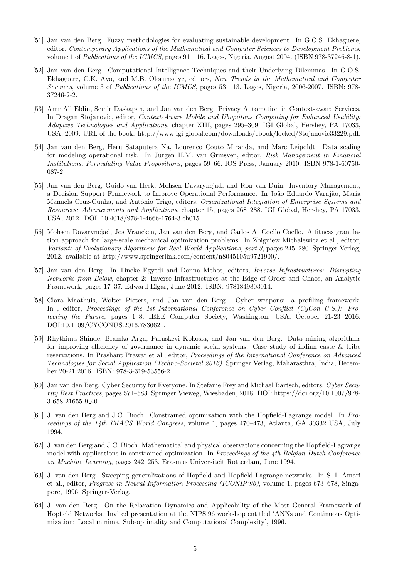- [51] Jan van den Berg. Fuzzy methodologies for evaluating sustainable development. In G.O.S. Ekhaguere, editor, *Contemporary Applications of the Mathematical and Computer Sciences to Development Problems*, volume 1 of *Publications of the ICMCS*, pages 91–116. Lagos, Nigeria, August 2004. (ISBN 978-37246-8-1).
- [52] Jan van den Berg. Computational Intelligence Techniques and their Underlying Dilemmas. In G.O.S. Ekhaguere, C.K. Ayo, and M.B. Olorunsaiye, editors, *New Trends in the Mathematical and Computer Sciences*, volume 3 of *Publications of the ICMCS*, pages 53–113. Lagos, Nigeria, 2006-2007. ISBN: 978- 37246-2-2.
- [53] Amr Ali Eldin, Semir Daskapan, and Jan van den Berg. Privacy Automation in Context-aware Services. In Dragan Stojanovic, editor, *Context-Aware Mobile and Ubiquitous Computing for Enhanced Usability: Adaptive Technologies and Applications*, chapter XIII, pages 295–309. IGI Global, Hershey, PA 17033, USA, 2009. URL of the book: http://www.igi-global.com/downloads/ebook/locked/Stojanovic33229.pdf.
- [54] Jan van den Berg, Heru Sataputera Na, Lourenco Couto Miranda, and Marc Leipoldt. Data scaling for modeling operational risk. In Jürgen H.M. van Grinsven, editor, Risk Management in Financial *Institutions, Formulating Value Propositions*, pages 59–66. IOS Press, January 2010. ISBN 978-1-60750- 087-2.
- [55] Jan van den Berg, Guido van Heck, Mohsen Davarynejad, and Ron van Duin. Inventory Management, a Decision Support Framework to Improve Operational Performance. In João Eduardo Varajão, Maria Manuela Cruz-Cunha, and Ant´onio Trigo, editors, *Organizational Integration of Enterprise Systems and Resources: Advancements and Applications*, chapter 15, pages 268–288. IGI Global, Hershey, PA 17033, USA, 2012. DOI: 10.4018/978-1-4666-1764-3.ch015.
- [56] Mohsen Davarynejad, Jos Vrancken, Jan van den Berg, and Carlos A. Coello Coello. A fitness granulation approach for large-scale mechanical optimization problems. In Zbigniew Michalewicz et al., editor, *Variants of Evolutionary Algorithms for Real-World Applications, part 3*, pages 245–280. Springer Verlag, 2012. available at http://www.springerlink.com/content/n8045105u9721900/.
- [57] Jan van den Berg. In Tineke Egyedi and Donna Mehos, editors, *Inverse Infrastructures: Disrupting Networks from Below*, chapter 2: Inverse Infrastructures at the Edge of Order and Chaos, an Analytic Framework, pages 17–37. Edward Elgar, June 2012. ISBN: 9781849803014.
- [58] Clara Maathuis, Wolter Pieters, and Jan van den Berg. Cyber weapons: a profiling framework. In , editor, *Proceedings of the 1st International Conference on Cyber Conflict (CyCon U.S.): Protecting the Future*, pages 1–8. IEEE Computer Society, Washington, USA, October 21-23 2016. DOI:10.1109/CYCONUS.2016.7836621.
- [59] Rhythima Shinde, Bramka Arga, Paraskevi Kokosia, and Jan van den Berg. Data mining algorithms for improving efficiency of governance in dynamic social systems: Case study of indian caste & tribe reservations. In Prashant Prawar et al., editor, *Proceedings of the International Conference on Advanced Technologies for Social Application (Techno-Societal 2016)*. Springer Verlag, Maharasthra, India, December 20-21 2016. ISBN: 978-3-319-53556-2.
- [60] Jan van den Berg. Cyber Security for Everyone. In Stefanie Frey and Michael Bartsch, editors, *Cyber Security Best Practices*, pages 571–583. Springer Vieweg, Wiesbaden, 2018. DOI: https://doi.org/10.1007/978- 3-658-21655-9 40.
- [61] J. van den Berg and J.C. Bioch. Constrained optimization with the Hopfield-Lagrange model. In *Proceedings of the 14th IMACS World Congress*, volume 1, pages 470–473, Atlanta, GA 30332 USA, July 1994.
- [62] J. van den Berg and J.C. Bioch. Mathematical and physical observations concerning the Hopfield-Lagrange model with applications in constrained optimization. In *Proceedings of the 4th Belgian-Dutch Conference on Machine Learning*, pages 242–253, Erasmus Universiteit Rotterdam, June 1994.
- [63] J. van den Berg. Sweeping generalizations of Hopfield and Hopfield-Lagrange networks. In S.-I. Amari et al., editor, *Progress in Neural Information Processing (ICONIP'96)*, volume 1, pages 673–678, Singapore, 1996. Springer-Verlag.
- [64] J. van den Berg. On the Relaxation Dynamics and Applicability of the Most General Framework of Hopfield Networks. Invited presentation at the NIPS'96 workshop entitled 'ANNs and Continuous Optimization: Local minima, Sub-optimality and Computational Complexity', 1996.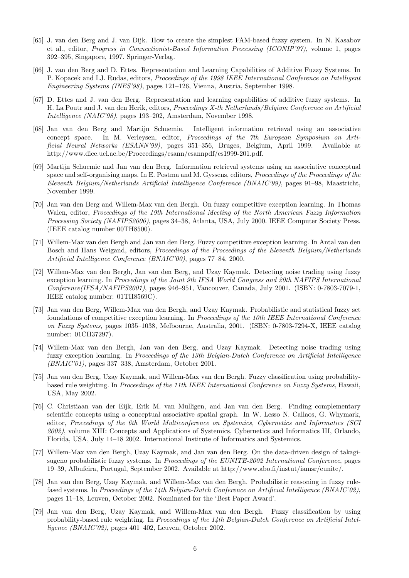- [65] J. van den Berg and J. van Dijk. How to create the simplest FAM-based fuzzy system. In N. Kasabov et al., editor, *Progress in Connectionist-Based Information Processing (ICONIP'97)*, volume 1, pages 392–395, Singapore, 1997. Springer-Verlag.
- [66] J. van den Berg and D. Ettes. Representation and Learning Capabilities of Additive Fuzzy Systems. In P. Kopacek and I.J. Rudas, editors, *Proceedings of the 1998 IEEE International Conference on Intelligent Engineering Systems (INES'98)*, pages 121–126, Vienna, Austria, September 1998.
- [67] D. Ettes and J. van den Berg. Representation and learning capabilities of additive fuzzy systems. In H. La Poutr and J. van den Herik, editors, *Proceedings X-th Netherlands/Belgium Conference on Artificial Intelligence (NAIC'98)*, pages 193–202, Amsterdam, November 1998.
- [68] Jan van den Berg and Martijn Schuemie. Intelligent information retrieval using an associative concept space. In M. Verleysen, editor, *Proceedings of the 7th European Symposium on Artificial Neural Networks (ESANN'99)*, pages 351–356, Bruges, Belgium, April 1999. Available at http://www.dice.ucl.ac.be/Proceedings/esann/esannpdf/es1999-201.pdf.
- [69] Martijn Schuemie and Jan van den Berg. Information retrieval systems using an associative conceptual space and self-organising maps. In E. Postma and M. Gyssens, editors, *Proceedings of the Proceedings of the Eleventh Belgium/Netherlands Artificial Intelligence Conference (BNAIC'99)*, pages 91–98, Maastricht, November 1999.
- [70] Jan van den Berg and Willem-Max van den Bergh. On fuzzy competitive exception learning. In Thomas Walen, editor, *Proceedings of the 19th International Meeting of the North American Fuzzy Information Processing Society (NAFIPS2000)*, pages 34–38, Atlanta, USA, July 2000. IEEE Computer Society Press. (IEEE catalog number 00TH8500).
- [71] Willem-Max van den Bergh and Jan van den Berg. Fuzzy competitive exception learning. In Antal van den Bosch and Hans Weigand, editors, *Proceedings of the Proceedings of the Eleventh Belgium/Netherlands Artificial Intelligence Conference (BNAIC'00)*, pages 77–84, 2000.
- [72] Willem-Max van den Bergh, Jan van den Berg, and Uzay Kaymak. Detecting noise trading using fuzzy exception learning. In *Proceedings of the Joint 9th IFSA World Congress and 20th NAFIPS International Conference(IFSA/NAFIPS2001)*, pages 946–951, Vancouver, Canada, July 2001. (ISBN: 0-7803-7079-1, IEEE catalog number: 01TH8569C).
- [73] Jan van den Berg, Willem-Max van den Bergh, and Uzay Kaymak. Probabilistic and statistical fuzzy set foundations of competitive exception learning. In *Proceedings of the 10th IEEE International Conference on Fuzzy Systems*, pages 1035–1038, Melbourne, Australia, 2001. (ISBN: 0-7803-7294-X, IEEE catalog number: 01CH37297).
- [74] Willem-Max van den Bergh, Jan van den Berg, and Uzay Kaymak. Detecting noise trading using fuzzy exception learning. In *Proceedings of the 13th Belgian-Dutch Conference on Artificial Intelligence (BNAIC'01)*, pages 337–338, Amsterdam, October 2001.
- [75] Jan van den Berg, Uzay Kaymak, and Willem-Max van den Bergh. Fuzzy classification using probabilitybased rule weighting. In *Proceedings of the 11th IEEE International Conference on Fuzzy Systems*, Hawaii, USA, May 2002.
- [76] C. Christiaan van der Eijk, Erik M. van Mulligen, and Jan van den Berg. Finding complementary scientific concepts using a conceptual associative spatial graph. In W. Lesso N. Callaos, G. Whymark, editor, *Proccedings of the 6th World Multiconference on Systemics, Cybernetics and Informatics (SCI 2002)*, volume XIII: Concepts and Applications of Systemics, Cybernetics and Informatics III, Orlando, Florida, USA, July 14–18 2002. International Institute of Informatics and Systemics.
- [77] Willem-Max van den Bergh, Uzay Kaymak, and Jan van den Berg. On the data-driven design of takagisugeno probabilistic fuzzy systems. In *Proceedings of the EUNITE-2002 International Conference*, pages 19–39, Albufeira, Portugal, September 2002. Available at http://www.abo.fi/instut/iamsr/eunite/.
- [78] Jan van den Berg, Uzay Kaymak, and Willem-Max van den Bergh. Probabilistic reasoning in fuzzy rulefased systems. In *Proceedings of the 14th Belgian-Dutch Conference on Artificial Intelligence (BNAIC'02)*, pages 11–18, Leuven, October 2002. Nominated for the 'Best Paper Award'.
- [79] Jan van den Berg, Uzay Kaymak, and Willem-Max van den Bergh. Fuzzy classification by using probability-based rule weighting. In *Proceedings of the 14th Belgian-Dutch Conference on Artificial Intelligence (BNAIC'02)*, pages 401–402, Leuven, October 2002.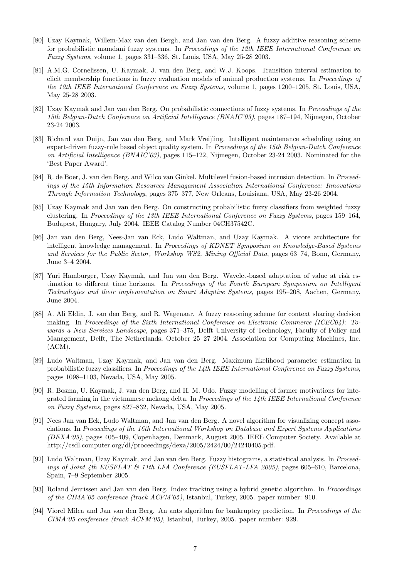- [80] Uzay Kaymak, Willem-Max van den Bergh, and Jan van den Berg. A fuzzy additive reasoning scheme for probabilistic mamdani fuzzy systems. In *Proceedings of the 12th IEEE International Conference on Fuzzy Systems*, volume 1, pages 331–336, St. Louis, USA, May 25-28 2003.
- [81] A.M.G. Cornelissen, U. Kaymak, J. van den Berg, and W.J. Koops. Transition interval estimation to elicit membership functions in fuzzy evaluation models of animal production systems. In *Proceedings of the 12th IEEE International Conference on Fuzzy Systems*, volume 1, pages 1200–1205, St. Louis, USA, May 25-28 2003.
- [82] Uzay Kaymak and Jan van den Berg. On probabilistic connections of fuzzy systems. In *Proceedings of the 15th Belgian-Dutch Conference on Artificial Intelligence (BNAIC'03)*, pages 187–194, Nijmegen, October 23-24 2003.
- [83] Richard van Duijn, Jan van den Berg, and Mark Vreijling. Intelligent maintenance scheduling using an expert-driven fuzzy-rule based object quality system. In *Proceedings of the 15th Belgian-Dutch Conference on Artificial Intelligence (BNAIC'03)*, pages 115–122, Nijmegen, October 23-24 2003. Nominated for the 'Best Paper Award'.
- [84] R. de Boer, J. van den Berg, and Wilco van Ginkel. Multilevel fusion-based intrusion detection. In *Proceedings of the 15th Information Resources Managament Association International Conference: Innovations Through Information Technology*, pages 375–377, New Orleans, Louisiana, USA, May 23-26 2004.
- [85] Uzay Kaymak and Jan van den Berg. On constructing probabilistic fuzzy classifiers from weighted fuzzy clustering. In *Proceedings of the 13th IEEE International Conference on Fuzzy Systems*, pages 159–164, Budapest, Hungary, July 2004. IEEE Catalog Number 04CH37542C.
- [86] Jan van den Berg, Nees-Jan van Eck, Ludo Waltman, and Uzay Kaymak. A vicore architecture for intelligent knowledge management. In *Proceedings of KDNET Symposium on Knowledge-Based Systems and Services for the Public Sector, Workshop WS2, Mining Official Data*, pages 63–74, Bonn, Germany, June 3–4 2004.
- [87] Yuri Hamburger, Uzay Kaymak, and Jan van den Berg. Wavelet-based adaptation of value at risk estimation to different time horizons. In *Proceedings of the Fourth European Symposium on Intelligent Technologies and their implementation on Smart Adaptive Systems*, pages 195–208, Aachen, Germany, June 2004.
- [88] A. Ali Eldin, J. van den Berg, and R. Wagenaar. A fuzzy reasoning scheme for context sharing decision making. In *Proceedings of the Sixth International Conference on Electronic Commerce (ICEC04): Towards a New Services Landscape*, pages 371–375, Delft University of Technology, Faculty of Policy and Management, Delft, The Netherlands, October 25–27 2004. Association for Computing Machines, Inc. (ACM).
- [89] Ludo Waltman, Uzay Kaymak, and Jan van den Berg. Maximum likelihood parameter estimation in probabilistic fuzzy classifiers. In *Proceedings of the 14th IEEE International Conference on Fuzzy Systems*, pages 1098–1103, Nevada, USA, May 2005.
- [90] R. Bosma, U. Kaymak, J. van den Berg, and H. M. Udo. Fuzzy modelling of farmer motivations for integrated farming in the vietnamese mekong delta. In *Proceedings of the 14th IEEE International Conference on Fuzzy Systems*, pages 827–832, Nevada, USA, May 2005.
- [91] Nees Jan van Eck, Ludo Waltman, and Jan van den Berg. A novel algorithm for visualizing concept associations. In *Proceedings of the 16th International Workshop on Database and Expert Systems Applications (DEXA'05)*, pages 405–409, Copenhagen, Denmark, August 2005. IEEE Computer Society. Available at http://csdl.computer.org/dl/proceedings/dexa/2005/2424/00/24240405.pdf.
- [92] Ludo Waltman, Uzay Kaymak, and Jan van den Berg. Fuzzy histograms, a statistical analysis. In *Proceedings of Joint 4th EUSFLAT & 11th LFA Conference (EUSFLAT-LFA 2005)*, pages 605–610, Barcelona, Spain, 7–9 September 2005.
- [93] Roland Jeurissen and Jan van den Berg. Index tracking using a hybrid genetic algorithm. In *Proceedings of the CIMA'05 conference (track ACFM'05)*, Istanbul, Turkey, 2005. paper number: 910.
- [94] Viorel Milea and Jan van den Berg. An ants algorithm for bankruptcy prediction. In *Proceedings of the CIMA'05 conference (track ACFM'05)*, Istanbul, Turkey, 2005. paper number: 929.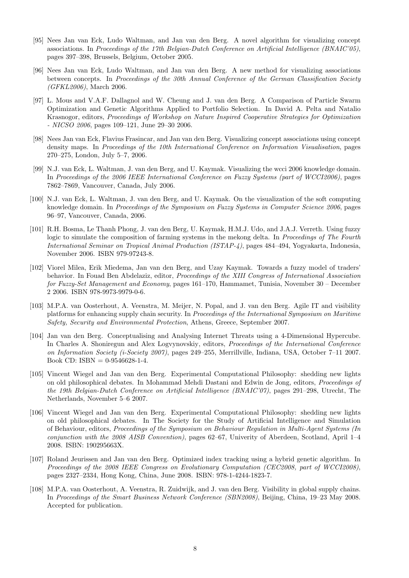- [95] Nees Jan van Eck, Ludo Waltman, and Jan van den Berg. A novel algorithm for visualizing concept associations. In *Proceedings of the 17th Belgian-Dutch Conference on Artificial Intelligence (BNAIC'05)*, pages 397–398, Brussels, Belgium, October 2005.
- [96] Nees Jan van Eck, Ludo Waltman, and Jan van den Berg. A new method for visualizing associations between concepts. In *Proceedings of the 30th Annual Conference of the German Classification Society (GFKL2006)*, March 2006.
- [97] L. Mous and V.A.F. Dallagnol and W. Cheung and J. van den Berg. A Comparison of Particle Swarm Optimization and Genetic Algorithms Applied to Portfolio Selection. In David A. Pelta and Natalio Krasnogor, editors, *Proceedings of Workshop on Nature Inspired Cooperative Strategies for Optimization - NICSO 2006*, pages 109–121, June 29–30 2006.
- [98] Nees Jan van Eck, Flavius Frasincar, and Jan van den Berg. Visualizing concept associations using concept density maps. In *Proceedings of the 10th International Conference on Information Visualisation*, pages 270–275, London, July 5–7, 2006.
- [99] N.J. van Eck, L. Waltman, J. van den Berg, and U. Kaymak. Visualizing the wcci 2006 knowledge domain. In *Proceedings of the 2006 IEEE International Conference on Fuzzy Systems (part of WCCI2006)*, pages 7862–7869, Vancouver, Canada, July 2006.
- [100] N.J. van Eck, L. Waltman, J. van den Berg, and U. Kaymak. On the visualization of the soft computing knowledge domain. In *Proceedings of the Symposium on Fuzzy Systems in Computer Science 2006*, pages 96–97, Vancouver, Canada, 2006.
- [101] R.H. Bosma, Le Thanh Phong, J. van den Berg, U. Kaymak, H.M.J. Udo, and J.A.J. Verreth. Using fuzzy logic to simulate the composition of farming systems in the mekong delta. In *Proceedings of The Fourth International Seminar on Tropical Animal Production (ISTAP-4)*, pages 484–494, Yogyakarta, Indonesia, November 2006. ISBN 979-97243-8.
- [102] Viorel Milea, Erik Miedema, Jan van den Berg, and Uzay Kaymak. Towards a fuzzy model of traders' behavior. In Fouad Ben Abdelaziz, editor, *Proceedings of the XIII Congress of International Association for Fuzzy-Set Management and Economy*, pages 161–170, Hammamet, Tunisia, November 30 – December 2 2006. ISBN 978-9973-9979-0-6.
- [103] M.P.A. van Oosterhout, A. Veenstra, M. Meijer, N. Popal, and J. van den Berg. Agile IT and visibility platforms for enhancing supply chain security. In *Proceedings of the International Symposium on Maritime Safety, Security and Environmental Protection*, Athens, Greece, September 2007.
- [104] Jan van den Berg. Conceptualising and Analysing Internet Threats using a 4-Dimensional Hypercube. In Charles A. Shoniregun and Alex Logvynovskiy, editors, *Proceedings of the International Conference on Information Society (i-Society 2007)*, pages 249–255, Merrillville, Indiana, USA, October 7–11 2007. Book CD: ISBN =  $0-9546628-1-4$ .
- [105] Vincent Wiegel and Jan van den Berg. Experimental Computational Philosophy: shedding new lights on old philosophical debates. In Mohammad Mehdi Dastani and Edwin de Jong, editors, *Proceedings of the 19th Belgian-Dutch Conference on Artificial Intelligence (BNAIC'07)*, pages 291–298, Utrecht, The Netherlands, November 5–6 2007.
- [106] Vincent Wiegel and Jan van den Berg. Experimental Computational Philosophy: shedding new lights on old philosophical debates. In The Society for the Study of Artificial Intelligence and Simulation of Behaviour, editors, *Proceedings of the Symposium on Behaviour Regulation in Multi-Agent Systems (In conjunction with the 2008 AISB Convention)*, pages 62–67, Univerity of Aberdeen, Scotland, April 1–4 2008. ISBN: 190295663X.
- [107] Roland Jeurissen and Jan van den Berg. Optimized index tracking using a hybrid genetic algorithm. In *Proceedings of the 2008 IEEE Congress on Evolutionary Computation (CEC2008, part of WCCI2008)*, pages 2327–2334, Hong Kong, China, June 2008. ISBN: 978-1-4244-1823-7.
- [108] M.P.A. van Oosterhout, A. Veenstra, R. Zuidwijk, and J. van den Berg. Visibility in global supply chains. In *Proceedings of the Smart Business Network Conference (SBN2008)*, Beijing, China, 19–23 May 2008. Accepted for publication.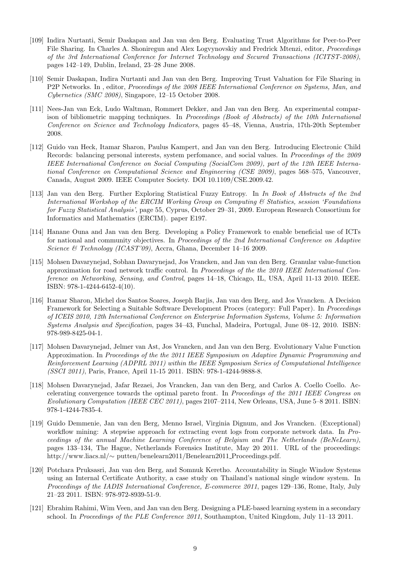- [109] Indira Nurtanti, Semir Daskapan and Jan van den Berg. Evaluating Trust Algorithms for Peer-to-Peer File Sharing. In Charles A. Shoniregun and Alex Logvynovskiy and Fredrick Mtenzi, editor, *Proceedings of the 3rd International Conference for Internet Technology and Secured Transactions (ICITST-2008)*, pages 142–149, Dublin, Ireland, 23–28 June 2008.
- [110] Semir Daskapan, Indira Nurtanti and Jan van den Berg. Improving Trust Valuation for File Sharing in P2P Networks. In , editor, *Proceedings of the 2008 IEEE International Conference on Systems, Man, and Cybernetics (SMC 2008)*, Singapore, 12–15 October 2008.
- [111] Nees-Jan van Eck, Ludo Waltman, Rommert Dekker, and Jan van den Berg. An experimental comparison of bibliometric mapping techniques. In *Proceedings (Book of Abstracts) of the 10th International Conference on Science and Technology Indicators*, pages 45–48, Vienna, Austria, 17th-20th September 2008.
- [112] Guido van Heck, Itamar Sharon, Paulus Kampert, and Jan van den Berg. Introducing Electronic Child Records: balancing personal interests, system perfomance, and social values. In *Proceedings of the 2009 IEEE International Conference on Social Computing (SocialCom 2009), part of the 12th IEEE International Conference on Computational Science and Engineering (CSE 2009)*, pages 568–575, Vancouver, Canada, August 2009. IEEE Computer Society. DOI 10.1109/CSE.2009.42.
- [113] Jan van den Berg. Further Exploring Statistical Fuzzy Entropy. In *In Book of Abstracts of the 2nd International Workshop of the ERCIM Working Group on Computing & Statistics, session 'Foundations for Fuzzy Statistical Analysis'*, page 55, Cyprus, October 29–31, 2009. European Research Consortium for Informatics and Mathematics (ERCIM). paper E197.
- [114] Hanane Ouna and Jan van den Berg. Developing a Policy Framework to enable beneficial use of ICTs for national and community objectives. In *Proceedings of the 2nd International Conference on Adaptive Science & Technology (ICAST'09)*, Accra, Ghana, December 14–16 2009.
- [115] Mohsen Davarynejad, Sobhan Davarynejad, Jos Vrancken, and Jan van den Berg. Granular value-function approximation for road network traffic control. In *Proceedings of the the 2010 IEEE International Conference on Networking, Sensing, and Control*, pages 14–18, Chicago, IL, USA, April 11-13 2010. IEEE. ISBN: 978-1-4244-6452-4(10).
- [116] Itamar Sharon, Michel dos Santos Soares, Joseph Barjis, Jan van den Berg, and Jos Vrancken. A Decision Framework for Selecting a Suitable Software Development Proces (category: Full Paper). In *Proceedings of ICEIS 2010, 12th International Conference on Enterprise Information Systems, Volume 5: Information Systems Analysis and Specification*, pages 34–43, Funchal, Madeira, Portugal, June 08–12, 2010. ISBN: 978-989-8425-04-1.
- [117] Mohsen Davarynejad, Jelmer van Ast, Jos Vrancken, and Jan van den Berg. Evolutionary Value Function Approximation. In *Proceedings of the the 2011 IEEE Symposium on Adaptive Dynamic Programming and Reinforcement Learning (ADPRL 2011) within the IEEE Symposium Series of Computational Intelligence (SSCI 2011)*, Paris, France, April 11-15 2011. ISBN: 978-1-4244-9888-8.
- [118] Mohsen Davarynejad, Jafar Rezaei, Jos Vrancken, Jan van den Berg, and Carlos A. Coello Coello. Accelerating convergence towards the optimal pareto front. In *Proceedings of the 2011 IEEE Congress on Evolutionary Computation (IEEE CEC 2011)*, pages 2107–2114, New Orleans, USA, June 5–8 2011. ISBN: 978-1-4244-7835-4.
- [119] Guido Demmenie, Jan van den Berg, Menno Israel, Virginia Dignum, and Jos Vrancken. (Exceptional) workflow mining: A stepwise approach for extracting event logs from corporate network data. In *Proceedings of the annual Machine Learning Conference of Belgium and The Netherlands (BeNeLearn)*, pages 133–134, The Hague, Netherlands Forensics Institute, May 20 2011. URL of the proceedings: http://www.liacs.nl/*∼* putten/benelearn2011/Benelearn2011 Proceedings.pdf.
- [120] Potchara Pruksasri, Jan van den Berg, and Somnuk Keretho. Accountability in Single Window Systems using an Internal Certificate Authority, a case study on Thailand's national single window system. In *Proceedings of the IADIS International Conference, E-commerce 2011*, pages 129–136, Rome, Italy, July 21–23 2011. ISBN: 978-972-8939-51-9.
- [121] Ebrahim Rahimi, Wim Veen, and Jan van den Berg. Designing a PLE-based learning system in a secondary school. In *Proceedings of the PLE Conference 2011*, Southampton, United Kingdom, July 11–13 2011.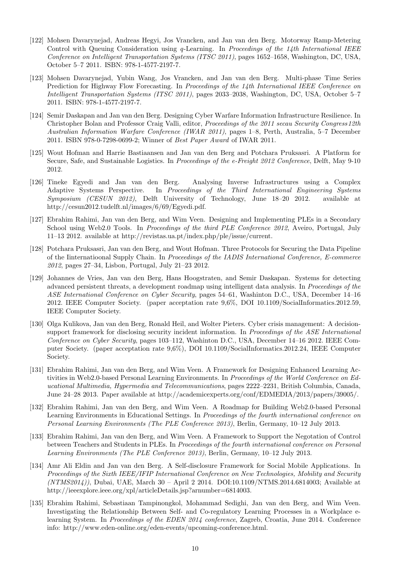- [122] Mohsen Davarynejad, Andreas Hegyi, Jos Vrancken, and Jan van den Berg. Motorway Ramp-Metering Control with Queuing Consideration using *q*-Learning. In *Proceedings of the 14th International IEEE Conference on Intelligent Transportation Systems (ITSC 2011)*, pages 1652–1658, Washington, DC, USA, October 5–7 2011. ISBN: 978-1-4577-2197-7.
- [123] Mohsen Davarynejad, Yubin Wang, Jos Vrancken, and Jan van den Berg. Multi-phase Time Series Prediction for Highway Flow Forecasting. In *Proceedings of the 14th International IEEE Conference on Intelligent Transportation Systems (ITSC 2011)*, pages 2033–2038, Washington, DC, USA, October 5–7 2011. ISBN: 978-1-4577-2197-7.
- [124] Semir Daskapan and Jan van den Berg. Designing Cyber Warfare Information Infrastructure Resilience. In Christopher Bolan and Professor Craig Valli, editor, *Proceedings of the 2011 secau Security Congress12th Australian Information Warfare Conference (IWAR 2011)*, pages 1–8, Perth, Australia, 5–7 December 2011. ISBN 978-0-7298-0699-2; Winner of *Best Paper Award* of IWAR 2011.
- [125] Wout Hofman and Harrie Bastiaansen and Jan van den Berg and Potchara Pruksasri. A Platform for Secure, Safe, and Sustainable Logistics. In *Proceedings of the e-Freight 2012 Conference*, Delft, May 9-10 2012.
- [126] Tineke Egyedi and Jan van den Berg. Analysing Inverse Infrastructures using a Complex Adaptive Systems Perspective. In *Proceedings of the Third International Engineering Systems Symposium (CESUN 2012)*, Delft University of Technology, June 18–20 2012. available at http://cesun2012.tudelft.nl/images/6/69/Egyedi.pdf.
- [127] Ebrahim Rahimi, Jan van den Berg, and Wim Veen. Designing and Implementing PLEs in a Secondary School using Web2.0 Tools. In *Proceedings of the third PLE Conference 2012*, Aveiro, Portugal, July 11–13 2012. available at http://revistas.ua.pt/index.php/ple/issue/current.
- [128] Potchara Pruksasri, Jan van den Berg, and Wout Hofman. Three Protocols for Securing the Data Pipeline of the Iinternatioonal Supply Chain. In *Proceedings of the IADIS International Conference, E-commerce 2012*, pages 27–34, Lisbon, Portugal, July 21–23 2012.
- [129] Johannes de Vries, Jan van den Berg, Hans Hoogstraten, and Semir Daskapan. Systems for detecting advanced persistent threats, a development roadmap using intelligent data analysis. In *Proceedings of the ASE International Conference on Cyber Security*, pages 54–61, Washinton D.C., USA, December 14–16 2012. IEEE Computer Society. (paper acceptation rate 9,6%, DOI 10.1109/SocialInformatics.2012.59, IEEE Computer Society.
- [130] Olga Kulikova, Jan van den Berg, Ronald Heil, and Wolter Pieters. Cyber crisis management: A decisionsupport framework for disclosing security incident information. In *Proceedings of the ASE International Conference on Cyber Security*, pages 103–112, Washinton D.C., USA, December 14–16 2012. IEEE Computer Society. (paper acceptation rate 9,6%), DOI 10.1109/SocialInformatics.2012.24, IEEE Computer Society.
- [131] Ebrahim Rahimi, Jan van den Berg, and Wim Veen. A Framework for Designing Enhanced Learning Activities in Web2.0-based Personal Learning Environments. In *Proceedings of the World Conference on Educational Multimedia, Hypermedia and Telecommunications*, pages 2222–2231, British Columbia, Canada, June 24–28 2013. Paper available at http://academicexperts.org/conf/EDMEDIA/2013/papers/39005/.
- [132] Ebrahim Rahimi, Jan van den Berg, and Wim Veen. A Roadmap for Building Web2.0-based Personal Learning Environments in Educational Settings. In *Proceedings of the fourth international conference on Personal Learning Environments (The PLE Conference 2013)*, Berlin, Germany, 10–12 July 2013.
- [133] Ebrahim Rahimi, Jan van den Berg, and Wim Veen. A Framework to Support the Negotation of Control between Teachers and Students in PLEs. In *Proceedings of the fourth international conference on Personal Learning Environments (The PLE Conference 2013)*, Berlin, Germany, 10–12 July 2013.
- [134] Amr Ali Eldin and Jan van den Berg. A Self-disclosure Framework for Social Mobile Applications. In *Proceedings of the Sixth IEEE/IFIP International Conference on New Technologies, Mobility and Security (NTMS2014))*, Dubai, UAE, March 30 – April 2 2014. DOI:10.1109/NTMS.2014.6814003; Available at http://ieeexplore.ieee.org/xpl/articleDetails.jsp?arnumber=6814003.
- [135] Ebrahim Rahimi, Sebastiaan Tampinongkol, Mohammad Sedighi, Jan van den Berg, and Wim Veen. Investigating the Relationship Between Self- and Co-regulatory Learning Processes in a Workplace elearning System. In *Proceedings of the EDEN 2014 conference*, Zagreb, Croatia, June 2014. Conference info: http://www.eden-online.org/eden-events/upcoming-conference.html.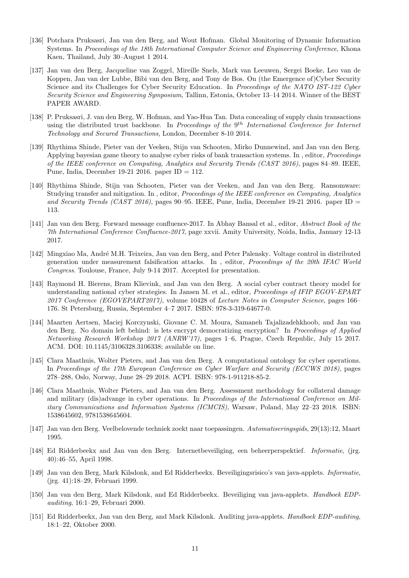- [136] Potchara Pruksasri, Jan van den Berg, and Wout Hofman. Global Monitoring of Dynamic Information Systems. In *Proceedings of the 18th International Computer Science and Engineering Conference*, Khona Kaen, Thailand, July 30–August 1 2014.
- [137] Jan van den Berg, Jacqueline van Zoggel, Mireille Snels, Mark van Leeuwen, Sergei Boeke, Leo van de Koppen, Jan van der Lubbe, Bibi van den Berg, and Tony de Bos. On (the Emergence of)Cyber Security Science and its Challenges for Cyber Security Education. In *Proceedings of the NATO IST-122 Cyber Security Science and Engineering Symposium*, Tallinn, Estonia, October 13–14 2014. Winner of the BEST PAPER AWARD.
- [138] P. Pruksasri, J. van den Berg, W. Hofman, and Yao-Hua Tan. Data concealing of supply chain transactions using the distributed trust backbone. In *Proceedings of the* 9 *th International Conference for Internet Technology and Secured Transactions*, London, December 8-10 2014.
- [139] Rhythima Shinde, Pieter van der Veeken, Stijn van Schooten, Mirko Dunnewind, and Jan van den Berg. Applying bayesian game theory to analyse cyber risks of bank transaction systems. In , editor, *Proceedings of the IEEE conference on Computing, Analytics and Security Trends (CAST 2016)*, pages 84–89. IEEE, Pune, India, December 19-21 2016. paper ID = 112.
- [140] Rhythima Shinde, Stijn van Schooten, Pieter van der Veeken, and Jan van den Berg. Ransomware: Studying transfer and mitigation. In , editor, *Proceedings of the IEEE conference on Computing, Analytics and Security Trends (CAST 2016)*, pages 90–95. IEEE, Pune, India, December 19-21 2016. paper ID = 113.
- [141] Jan van den Berg. Forward message confluence-2017. In Abhay Bansal et al., editor, *Abstract Book of the 7th International Conference Confluence-2017*, page xxvii. Amity University, Noida, India, January 12-13 2017.
- [142] Mingxiao Ma, Andr´e M.H. Teixeira, Jan van den Berg, and Peter Palensky. Voltage control in distributed generation under measurement falsification attacks. In , editor, *Proceedings of the 20th IFAC World Congress*. Toulouse, France, July 9-14 2017. Accepted for presentation.
- [143] Raymond H. Bierens, Bram Klievink, and Jan van den Berg. A social cyber contract theory model for understanding national cyber strategies. In Jansen M. et al., editor, *Proceedings of IFIP EGOV-EPART 2017 Conference (EGOVEPART2017)*, volume 10428 of *Lecture Notes in Computer Science*, pages 166– 176. St Petersburg, Russia, September 4–7 2017. ISBN: 978-3-319-64677-0.
- [144] Maarten Aertsen, Maciej Korczynski, Giovane C. M. Moura, Samaneh Tajalizadehkhoob, and Jan van den Berg. No domain left behind: is lets encrypt democratizing encryption? In *Proceedings of Applied Networking Research Workshop 2017 (ANRW'17)*, pages 1–6, Prague, Czech Republic, July 15 2017. ACM. DOI: 10.1145/3106328.3106338; available on line.
- [145] Clara Maathuis, Wolter Pieters, and Jan van den Berg. A computational ontology for cyber operations. In *Proceedings of the 17th European Conference on Cyber Warfare and Security (ECCWS 2018)*, pages 278–288, Oslo, Norway, June 28–29 2018. ACPI. ISBN: 978-1-911218-85-2.
- [146] Clara Maathuis, Wolter Pieters, and Jan van den Berg. Assessment methodology for collateral damage and military (dis)advange in cyber operations. In *Proceedings of the International Conference on Military Communications and Information Systems (ICMCIS)*, Warsaw, Poland, May 22–23 2018. ISBN: 1538645602, 9781538645604.
- [147] Jan van den Berg. Veelbelovende techniek zoekt naar toepassingen. *Automatiseringsgids*, 29(13):12, Maart 1995.
- [148] Ed Ridderbeekx and Jan van den Berg. Internetbeveiliging, een beheerperspektief. *Informatie*, (jrg. 40):46–55, April 1998.
- [149] Jan van den Berg, Mark Kilsdonk, and Ed Ridderbeekx. Beveiligingsrisico's van java-applets. *Informatie*, (jrg. 41):18–29, Februari 1999.
- [150] Jan van den Berg, Mark Kilsdonk, and Ed Ridderbeekx. Beveiliging van java-applets. *Handboek EDPauditing*, 16:1–29, Februari 2000.
- [151] Ed Ridderbeekx, Jan van den Berg, and Mark Kilsdonk. Auditing java-applets. *Handboek EDP-auditing*, 18:1–22, Oktober 2000.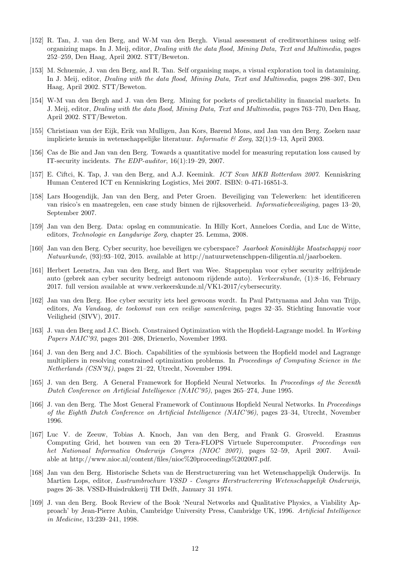- [152] R. Tan, J. van den Berg, and W-M van den Bergh. Visual assessment of creditworthiness using selforganizing maps. In J. Meij, editor, *Dealing with the data flood, Mining Data, Text and Multimedia*, pages 252–259, Den Haag, April 2002. STT/Beweton.
- [153] M. Schuemie, J. van den Berg, and R. Tan. Self organising maps, a visual exploration tool in datamining. In J. Meij, editor, *Dealing with the data flood, Mining Data, Text and Multimedia*, pages 298–307, Den Haag, April 2002. STT/Beweton.
- [154] W-M van den Bergh and J. van den Berg. Mining for pockets of predictability in financial markets. In J. Meij, editor, *Dealing with the data flood, Mining Data, Text and Multimedia*, pages 763–770, Den Haag, April 2002. STT/Beweton.
- [155] Christiaan van der Eijk, Erik van Mulligen, Jan Kors, Barend Mons, and Jan van den Berg. Zoeken naar impliciete kennis in wetenschappelijke literatuur. *Informatie & Zorg*, 32(1):9–13, April 2003.
- [156] Cas de Bie and Jan van den Berg. Towards a quantitative model for measuring reputation loss caused by IT-security incidents. *The EDP-auditor*, 16(1):19–29, 2007.
- [157] E. Ciftci, K. Tap, J. van den Berg, and A.J. Keemink. *ICT Scan MKB Rotterdam 2007*. Kenniskring Human Centered ICT en Kenniskring Logistics, Mei 2007. ISBN: 0-471-16851-3.
- [158] Lars Hoogendijk, Jan van den Berg, and Peter Groen. Beveiliging van Telewerken: het identificeren van risico's en maatregelen, een case study binnen de rijksoverheid. *Informatiebeveiliging*, pages 13–20, September 2007.
- [159] Jan van den Berg. Data: opslag en communicatie. In Hilly Kort, Anneloes Cordia, and Luc de Witte, editors, *Technologie en Langdurige Zorg*, chapter 25. Lemma, 2008.
- [160] Jan van den Berg. Cyber security, hoe beveiligen we cyberspace? *Jaarboek Koninklijke Maatschappij voor Natuurkunde*, (93):93–102, 2015. available at http://natuurwetenschppen-diligentia.nl/jaarboeken.
- [161] Herbert Leenstra, Jan van den Berg, and Bert van Wee. Stappenplan voor cyber security zelfrijdende auto (gebrek aan cyber security bedreigt autonoom rijdende auto). *Verkeerskunde*, (1):8–16, February 2017. full version available at www.verkeerskunde.nl/VK1-2017/cybersecurity.
- [162] Jan van den Berg. Hoe cyber security iets heel gewoons wordt. In Paul Pattynama and John van Trijp, editors, *Na Vandaag, de toekomst van een veilige samenleving*, pages 32–35. Stichting Innovatie voor Veiligheid (SIVV), 2017.
- [163] J. van den Berg and J.C. Bioch. Constrained Optimization with the Hopfield-Lagrange model. In *Working Papers NAIC'93*, pages 201–208, Drienerlo, November 1993.
- [164] J. van den Berg and J.C. Bioch. Capabilities of the symbiosis between the Hopfield model and Lagrange multipliers in resolving constrained optimization problems. In *Proceedings of Computing Science in the Netherlands (CSN'94)*, pages 21–22, Utrecht, November 1994.
- [165] J. van den Berg. A General Framework for Hopfield Neural Networks. In *Proceedings of the Seventh Dutch Conference on Artificial Intelligence (NAIC'95)*, pages 265–274, June 1995.
- [166] J. van den Berg. The Most General Framework of Continuous Hopfield Neural Networks. In *Proceedings of the Eighth Dutch Conference on Artificial Intelligence (NAIC'96)*, pages 23–34, Utrecht, November 1996.
- [167] Luc V. de Zeeuw, Tobias A. Knoch, Jan van den Berg, and Frank G. Grosveld. Erasmus Computing Grid, het bouwen van een 20 Tera-FLOPS Virtuele Supercomputer. *Proceedings van het Nationaal Informatica Onderwijs Congres (NIOC 2007)*, pages 52–59, April 2007. Available at http://www.nioc.nl/content/files/nioc%20proceedings%202007.pdf.
- [168] Jan van den Berg. Historische Schets van de Herstructurering van het Wetenschappelijk Onderwijs. In Martien Lops, editor, *Lustrumbrochure VSSD - Congres Herstructerering Wetenschappelijk Onderwijs*, pages 26–38. VSSD-Huisdrukkerij TH Delft, January 31 1974.
- [169] J. van den Berg. Book Review of the Book 'Neural Networks and Qualitative Physics, a Viability Approach' by Jean-Pierre Aubin, Cambridge University Press, Cambridge UK, 1996. *Artificial Intelligence in Medicine*, 13:239–241, 1998.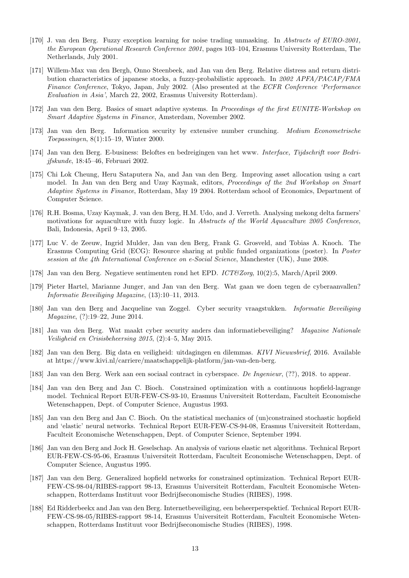- [170] J. van den Berg. Fuzzy exception learning for noise trading unmasking. In *Abstracts of EURO-2001, the European Operational Research Conference 2001*, pages 103–104, Erasmus University Rotterdam, The Netherlands, July 2001.
- [171] Willem-Max van den Bergh, Onno Steenbeek, and Jan van den Berg. Relative distress and return distribution characteristics of japanese stocks, a fuzzy-probabilistic approach. In *2002 APFA/PACAP/FMA Finance Conference*, Tokyo, Japan, July 2002. (Also presented at the *ECFR Conference 'Performance Evaluation in Asia'*, March 22, 2002, Erasmus University Rotterdam).
- [172] Jan van den Berg. Basics of smart adaptive systems. In *Proceedings of the first EUNITE-Workshop on Smart Adaptive Systems in Finance*, Amsterdam, November 2002.
- [173] Jan van den Berg. Information security by extensive number crunching. *Medium Econometrische Toepassingen*, 8(1):15–19, Winter 2000.
- [174] Jan van den Berg. E-business: Beloftes en bedreigingen van het www. *Interface, Tijdschrift voor Bedrijfskunde*, 18:45–46, Februari 2002.
- [175] Chi Lok Cheung, Heru Sataputera Na, and Jan van den Berg. Improving asset allocation using a cart model. In Jan van den Berg and Uzay Kaymak, editors, *Proceedings of the 2nd Workshop on Smart Adaptive Systems in Finance*, Rotterdam, May 19 2004. Rotterdam school of Economics, Department of Computer Science.
- [176] R.H. Bosma, Uzay Kaymak, J. van den Berg, H.M. Udo, and J. Verreth. Analysing mekong delta farmers' motivations for aquaculture with fuzzy logic. In *Abstracts of the World Aquaculture 2005 Conference*, Bali, Indonesia, April 9–13, 2005.
- [177] Luc V. de Zeeuw, Ingrid Mulder, Jan van den Berg, Frank G. Grosveld, and Tobias A. Knoch. The Erasmus Computing Grid (ECG): Resource sharing at public funded organizations (poster). In *Poster session at the 4th International Conference on e-Social Science*, Manchester (UK), June 2008.
- [178] Jan van den Berg. Negatieve sentimenten rond het EPD. *ICT&Zorg*, 10(2):5, March/April 2009.
- [179] Pieter Hartel, Marianne Junger, and Jan van den Berg. Wat gaan we doen tegen de cyberaanvallen? *Informatie Beveiliging Magazine*, (13):10–11, 2013.
- [180] Jan van den Berg and Jacqueline van Zoggel. Cyber security vraagstukken. *Informatie Beveiliging Magazine*, (?):19–22, June 2014.
- [181] Jan van den Berg. Wat maakt cyber security anders dan informatiebeveiliging? *Magazine Nationale Veiligheid en Crisisbeheersing 2015*, (2):4–5, May 2015.
- [182] Jan van den Berg. Big data en veiligheid: uitdagingen en dilemmas. *KIVI Nieuwsbrief*, 2016. Available at https://www.kivi.nl/carriere/maatschappelijk-platform/jan-van-den-berg.
- [183] Jan van den Berg. Werk aan een sociaal contract in cyberspace. *De Ingenieur*, (??), 2018. to appear.
- [184] Jan van den Berg and Jan C. Bioch. Constrained optimization with a continuous hopfield-lagrange model. Technical Report EUR-FEW-CS-93-10, Erasmus Universiteit Rotterdam, Faculteit Economische Wetenschappen, Dept. of Computer Science, Augustus 1993.
- [185] Jan van den Berg and Jan C. Bioch. On the statistical mechanics of (un)constrained stochastic hopfield and 'elastic' neural networks. Technical Report EUR-FEW-CS-94-08, Erasmus Universiteit Rotterdam, Faculteit Economische Wetenschappen, Dept. of Computer Science, September 1994.
- [186] Jan van den Berg and Jock H. Geselschap. An analysis of various elastic net algorithms. Technical Report EUR-FEW-CS-95-06, Erasmus Universiteit Rotterdam, Faculteit Economische Wetenschappen, Dept. of Computer Science, Augustus 1995.
- [187] Jan van den Berg. Generalized hopfield networks for constrained optimization. Technical Report EUR-FEW-CS-98-04/RIBES-rapport 98-13, Erasmus Universiteit Rotterdam, Faculteit Economische Wetenschappen, Rotterdams Instituut voor Bedrijfseconomische Studies (RIBES), 1998.
- [188] Ed Ridderbeekx and Jan van den Berg. Internetbeveiliging, een beheerperspektief. Technical Report EUR-FEW-CS-98-05/RIBES-rapport 98-14, Erasmus Universiteit Rotterdam, Faculteit Economische Wetenschappen, Rotterdams Instituut voor Bedrijfseconomische Studies (RIBES), 1998.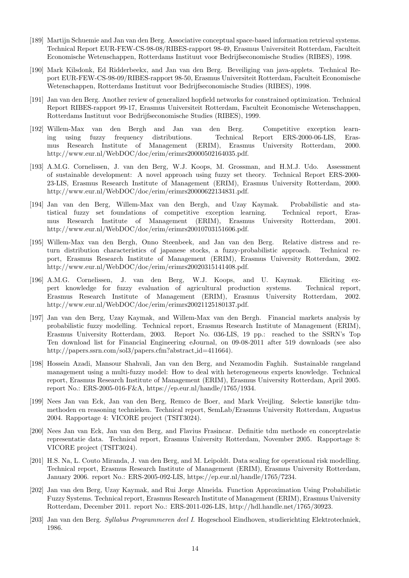- [189] Martijn Schuemie and Jan van den Berg. Associative conceptual space-based information retrieval systems. Technical Report EUR-FEW-CS-98-08/RIBES-rapport 98-49, Erasmus Universiteit Rotterdam, Faculteit Economische Wetenschappen, Rotterdams Instituut voor Bedrijfseconomische Studies (RIBES), 1998.
- [190] Mark Kilsdonk, Ed Ridderbeekx, and Jan van den Berg. Beveiliging van java-applets. Technical Report EUR-FEW-CS-98-09/RIBES-rapport 98-50, Erasmus Universiteit Rotterdam, Faculteit Economische Wetenschappen, Rotterdams Instituut voor Bedrijfseconomische Studies (RIBES), 1998.
- [191] Jan van den Berg. Another review of generalized hopfield networks for constrained optimization. Technical Report RIBES-rapport 99-17, Erasmus Universiteit Rotterdam, Faculteit Economische Wetenschappen, Rotterdams Instituut voor Bedrijfseconomische Studies (RIBES), 1999.
- [192] Willem-Max van den Bergh and Jan van den Berg. Competitive exception learning using fuzzy frequency distributions. Technical Report ERS-2000-06-LIS, Erasmus Research Institute of Management (ERIM), Erasmus University Rotterdam, 2000. http://www.eur.nl/WebDOC/doc/erim/erimrs20000502164035.pdf.
- [193] A.M.G. Cornelissen, J. van den Berg, W.J. Koops, M. Grossman, and H.M.J. Udo. Assessment of sustainable development: A novel approach using fuzzy set theory. Technical Report ERS-2000- 23-LIS, Erasmus Research Institute of Management (ERIM), Erasmus University Rotterdam, 2000. http://www.eur.nl/WebDOC/doc/erim/erimrs20000622134831.pdf.
- [194] Jan van den Berg, Willem-Max van den Bergh, and Uzay Kaymak. Probabilistic and statistical fuzzy set foundations of competitive exception learning. Technical report, Erasmus Research Institute of Management (ERIM), Erasmus University Rotterdam, 2001. http://www.eur.nl/WebDOC/doc/erim/erimrs20010703151606.pdf.
- [195] Willem-Max van den Bergh, Onno Steenbeek, and Jan van den Berg. Relative distress and return distribution characteristics of japanese stocks, a fuzzy-probabilistic approach. Technical report, Erasmus Research Institute of Management (ERIM), Erasmus University Rotterdam, 2002. http://www.eur.nl/WebDOC/doc/erim/erimrs20020315141408.pdf.
- [196] A.M.G. Cornelissen, J. van den Berg, W.J. Koops, and U. Kaymak. Eliciting expert knowledge for fuzzy evaluation of agricultural production systems. Technical report, Erasmus Research Institute of Management (ERIM), Erasmus University Rotterdam, 2002. http://www.eur.nl/WebDOC/doc/erim/erimrs20021125180137.pdf.
- [197] Jan van den Berg, Uzay Kaymak, and Willem-Max van den Bergh. Financial markets analysis by probabilistic fuzzy modelling. Technical report, Erasmus Research Institute of Management (ERIM), Erasmus University Rotterdam, 2003. Report No. 036-LIS, 19 pp.: reached to the SSRN's Top Ten download list for Financial Engineering eJournal, on 09-08-2011 after 519 downloads (see also http://papers.ssrn.com/sol3/papers.cfm?abstract id=411664).
- [198] Hossein Azadi, Mansour Shahvali, Jan van den Berg, and Nezamodin Faghih. Sustainable rangeland management using a multi-fuzzy model: How to deal with heterogeneous experts knowledge. Technical report, Erasmus Research Institute of Management (ERIM), Erasmus University Rotterdam, April 2005. report No.: ERS-2005-016-F&A, https://ep.eur.nl/handle/1765/1934.
- [199] Nees Jan van Eck, Jan van den Berg, Remco de Boer, and Mark Vreijling. Selectie kansrijke tdmmethoden en reasoning technieken. Technical report, SemLab/Erasmus University Rotterdam, Augustus 2004. Rapportage 4: VICORE project (TSIT3024).
- [200] Nees Jan van Eck, Jan van den Berg, and Flavius Frasincar. Definitie tdm methode en conceptrelatie representatie data. Technical report, Erasmus University Rotterdam, November 2005. Rapportage 8: VICORE project (TSIT3024).
- [201] H.S. Na, L. Couto Miranda, J. van den Berg, and M. Leipoldt. Data scaling for operational risk modelling. Technical report, Erasmus Research Institute of Management (ERIM), Erasmus University Rotterdam, January 2006. report No.: ERS-2005-092-LIS, https://ep.eur.nl/handle/1765/7234.
- [202] Jan van den Berg, Uzay Kaymak, and Rui Jorge Almeida. Function Approximation Using Probabilistic Fuzzy Systems. Technical report, Erasmus Research Institute of Management (ERIM), Erasmus University Rotterdam, December 2011. report No.: ERS-2011-026-LIS, http://hdl.handle.net/1765/30923.
- [203] Jan van den Berg. *Syllabus Programmeren deel I*. Hogeschool Eindhoven, studierichting Elektrotechniek, 1986.